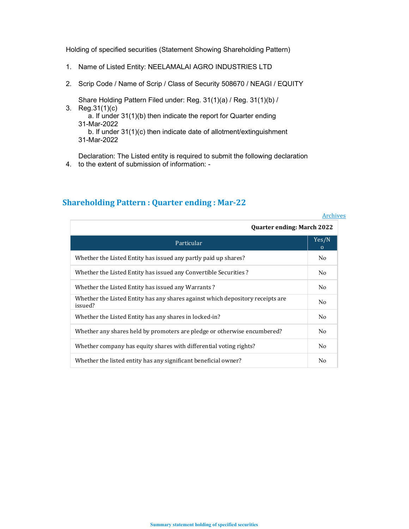Holding of specified securities (Statement Showing Shareholding Pattern)

- 1. Name of Listed Entity: NEELAMALAI AGRO INDUSTRIES LTD
- 2. Scrip Code / Name of Scrip / Class of Security 508670 / NEAGI / EQUITY

3. Reg.31(1)(c) Share Holding Pattern Filed under: Reg. 31(1)(a) / Reg. 31(1)(b) / a. If under 31(1)(b) then indicate the report for Quarter ending 31-Mar-2022 b. If under 31(1)(c) then indicate date of allotment/extinguishment 31-Mar-2022

4. to the extent of submission of information: - Declaration: The Listed entity is required to submit the following declaration

|                                                                                           | <b>Archives</b>   |  |  |  |
|-------------------------------------------------------------------------------------------|-------------------|--|--|--|
| <b>Quarter ending: March 2022</b>                                                         |                   |  |  |  |
| Particular                                                                                | Yes/N<br>$\Omega$ |  |  |  |
| Whether the Listed Entity has issued any partly paid up shares?                           | N <sub>0</sub>    |  |  |  |
| Whether the Listed Entity has issued any Convertible Securities?                          | No.               |  |  |  |
| Whether the Listed Entity has issued any Warrants?                                        | No.               |  |  |  |
| Whether the Listed Entity has any shares against which depository receipts are<br>issued? | N <sub>0</sub>    |  |  |  |
| Whether the Listed Entity has any shares in locked-in?                                    | N <sub>0</sub>    |  |  |  |
| Whether any shares held by promoters are pledge or otherwise encumbered?                  | N <sub>0</sub>    |  |  |  |
| Whether company has equity shares with differential voting rights?                        | No                |  |  |  |
| Whether the listed entity has any significant beneficial owner?                           | No                |  |  |  |

# Shareholding Pattern : Quarter ending : Mar-22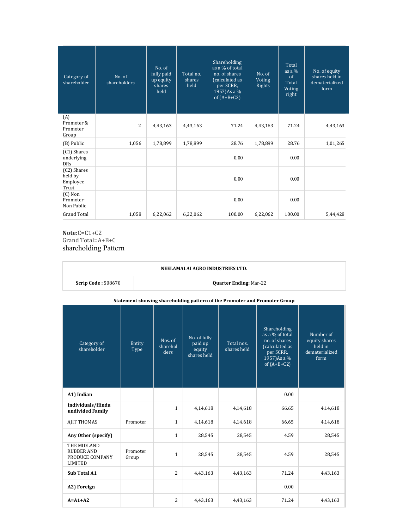| Category of<br>shareholder                  | No. of<br>shareholders | No. of<br>fully paid<br>up equity<br>shares<br>held | Total no.<br>shares<br>held | <b>Shareholding</b><br>as a % of total<br>no. of shares<br>(calculated as<br>per SCRR,<br>1957)As a %<br>of $(A+B+C2)$ | No. of<br>Voting<br>Rights | Total<br>as a $%$<br>$\alpha$ f<br>Total<br>Voting<br>right | No. of equity<br>shares held in<br>dematerialized<br>form |
|---------------------------------------------|------------------------|-----------------------------------------------------|-----------------------------|------------------------------------------------------------------------------------------------------------------------|----------------------------|-------------------------------------------------------------|-----------------------------------------------------------|
| (A)<br>Promoter &<br>Promoter<br>Group      | $\overline{2}$         | 4,43,163                                            | 4,43,163                    | 71.24                                                                                                                  | 4,43,163                   | 71.24                                                       | 4,43,163                                                  |
| (B) Public                                  | 1,056                  | 1,78,899                                            | 1,78,899                    | 28.76                                                                                                                  | 1,78,899                   | 28.76                                                       | 1,01,265                                                  |
| (C1) Shares<br>underlying<br><b>DRs</b>     |                        |                                                     |                             | 0.00                                                                                                                   |                            | 0.00                                                        |                                                           |
| (C2) Shares<br>held by<br>Employee<br>Trust |                        |                                                     |                             | 0.00                                                                                                                   |                            | 0.00                                                        |                                                           |
| $(C)$ Non<br>Promoter-<br>Non Public        |                        |                                                     |                             | 0.00                                                                                                                   |                            | 0.00                                                        |                                                           |
| <b>Grand Total</b>                          | 1,058                  | 6,22,062                                            | 6,22,062                    | 100.00                                                                                                                 | 6,22,062                   | 100.00                                                      | 5,44,428                                                  |

Note:C=C1+C2 Grand Total=A+B+C shareholding Pattern

| NEELAMALAI AGRO INDUSTRIES LTD.                                           |                                                                                                                                                                                                                                                                                                                      |                               |          |          |       |          |  |  |
|---------------------------------------------------------------------------|----------------------------------------------------------------------------------------------------------------------------------------------------------------------------------------------------------------------------------------------------------------------------------------------------------------------|-------------------------------|----------|----------|-------|----------|--|--|
| <b>Scrip Code: 508670</b>                                                 |                                                                                                                                                                                                                                                                                                                      | <b>Quarter Ending: Mar-22</b> |          |          |       |          |  |  |
| Statement showing shareholding pattern of the Promoter and Promoter Group |                                                                                                                                                                                                                                                                                                                      |                               |          |          |       |          |  |  |
| Category of<br>shareholder                                                | Shareholding<br>as a % of total<br>Number of<br>No. of fully<br>no. of shares<br>Nos. of<br>equity shares<br>Total nos.<br>Entity<br>paid up<br>sharehol<br>(calculated as<br>held in<br>shares held<br>Type<br>equity<br>dematerialized<br>per SCRR,<br>ders<br>shares held<br>1957)As a %<br>form<br>of $(A+B+C2)$ |                               |          |          |       |          |  |  |
| A1) Indian                                                                |                                                                                                                                                                                                                                                                                                                      |                               |          |          | 0.00  |          |  |  |
| Individuals/Hindu<br>undivided Family                                     |                                                                                                                                                                                                                                                                                                                      | $\mathbf{1}$                  | 4,14,618 | 4,14,618 | 66.65 | 4,14,618 |  |  |
| <b>AJIT THOMAS</b>                                                        | Promoter                                                                                                                                                                                                                                                                                                             | $\mathbf{1}$                  | 4,14,618 | 4,14,618 | 66.65 | 4,14,618 |  |  |
| Any Other (specify)                                                       |                                                                                                                                                                                                                                                                                                                      | $\mathbf{1}$                  | 28,545   | 28,545   | 4.59  | 28,545   |  |  |
| THE MIDLAND<br><b>RUBBER AND</b><br>PRODUCE COMPANY<br><b>LIMITED</b>     | Promoter<br>Group                                                                                                                                                                                                                                                                                                    | $\mathbf{1}$                  | 28,545   | 28,545   | 4.59  | 28,545   |  |  |
| Sub Total A1                                                              |                                                                                                                                                                                                                                                                                                                      | 2                             | 4,43,163 | 4,43,163 | 71.24 | 4,43,163 |  |  |
| A2) Foreign                                                               |                                                                                                                                                                                                                                                                                                                      |                               |          |          | 0.00  |          |  |  |
| $A = A1 + A2$                                                             |                                                                                                                                                                                                                                                                                                                      | $\overline{2}$                | 4,43,163 | 4,43,163 | 71.24 | 4,43,163 |  |  |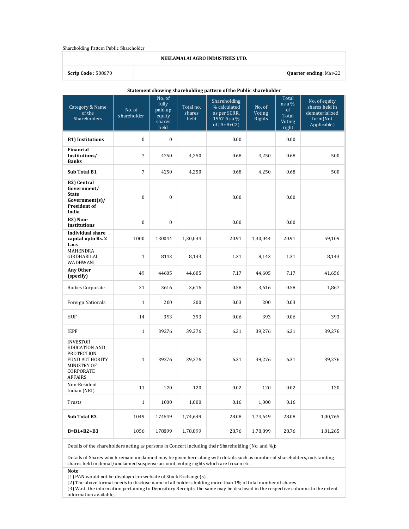#### Shareholding Pattern Public Shareholder

#### NEELAMALAI AGRO INDUSTRIES LTD.

### Scrip Code : 508670 Quarter ending: Mar-22

| Statement showing shareholding pattern of the Public shareholder                                                                    |                       |                                                        |                             |                                                                              |                            |                                                     |                                                                              |
|-------------------------------------------------------------------------------------------------------------------------------------|-----------------------|--------------------------------------------------------|-----------------------------|------------------------------------------------------------------------------|----------------------------|-----------------------------------------------------|------------------------------------------------------------------------------|
| Category & Name<br>of the<br>Shareholders                                                                                           | No. of<br>shareholder | No. of<br>fully<br>paid up<br>equity<br>shares<br>held | Total no.<br>shares<br>held | Shareholding<br>% calculated<br>as per SCRR,<br>1957 As a %<br>of $(A+B+C2)$ | No. of<br>Voting<br>Rights | Total<br>as a $%$<br>of<br>Total<br>Voting<br>right | No. of equity<br>shares held in<br>dematerialized<br>form(Not<br>Applicable) |
| <b>B1) Institutions</b>                                                                                                             | $\bf{0}$              | $\mathbf{0}$                                           |                             | 0.00                                                                         |                            | 0.00                                                |                                                                              |
| <b>Financial</b><br>Institutions/<br><b>Banks</b>                                                                                   | $\overline{7}$        | 4250                                                   | 4,250                       | 0.68                                                                         | 4,250                      | 0.68                                                | 500                                                                          |
| <b>Sub Total B1</b>                                                                                                                 | $\overline{7}$        | 4250                                                   | 4,250                       | 0.68                                                                         | 4,250                      | 0.68                                                | 500                                                                          |
| <b>B2)</b> Central<br>Government/<br><b>State</b><br>Government(s)/<br>President of<br>India                                        | $\bf{0}$              | $\bf{0}$                                               |                             | 0.00                                                                         |                            | 0.00                                                |                                                                              |
| B3) Non-<br><b>Institutions</b>                                                                                                     | $\bf{0}$              | $\bf{0}$                                               |                             | 0.00                                                                         |                            | 0.00                                                |                                                                              |
| <b>Individual share</b><br>capital upto Rs. 2<br>Lacs                                                                               | 1000                  | 130044                                                 | 1,30,044                    | 20.91                                                                        | 1,30,044                   | 20.91                                               | 59,109                                                                       |
| <b>MAHENDRA</b><br>GIRDHARILAL<br>WADHWANI                                                                                          | $\mathbf{1}$          | 8143                                                   | 8,143                       | 1.31                                                                         | 8,143                      | 1.31                                                | 8,143                                                                        |
| Any Other<br>(specify)                                                                                                              | 49                    | 44605                                                  | 44,605                      | 7.17                                                                         | 44,605                     | 7.17                                                | 41,656                                                                       |
| <b>Bodies Corporate</b>                                                                                                             | 21                    | 3616                                                   | 3,616                       | 0.58                                                                         | 3,616                      | 0.58                                                | 1,867                                                                        |
| <b>Foreign Nationals</b>                                                                                                            | $\mathbf{1}$          | 200                                                    | 200                         | 0.03                                                                         | 200                        | 0.03                                                |                                                                              |
| <b>HUF</b>                                                                                                                          | 14                    | 393                                                    | 393                         | 0.06                                                                         | 393                        | 0.06                                                | 393                                                                          |
| <b>IEPF</b>                                                                                                                         | $\mathbf{1}$          | 39276                                                  | 39,276                      | 6.31                                                                         | 39,276                     | 6.31                                                | 39,276                                                                       |
| <b>INVESTOR</b><br><b>EDUCATION AND</b><br><b>PROTECTION</b><br>FUND AUTHORITY<br><b>MINISTRY OF</b><br>CORPORATE<br><b>AFFAIRS</b> | $\mathbf{1}$          | 39276                                                  | 39,276                      | 6.31                                                                         | 39,276                     | 6.31                                                | 39,276                                                                       |
| Non-Resident<br>Indian (NRI)                                                                                                        | 11                    | 120                                                    | 120                         | 0.02                                                                         | 120                        | 0.02                                                | 120                                                                          |
| Trusts                                                                                                                              | $\mathbf{1}$          | 1000                                                   | 1,000                       | 0.16                                                                         | 1,000                      | 0.16                                                |                                                                              |
| Sub Total B3                                                                                                                        | 1049                  | 174649                                                 | 1,74,649                    | 28.08                                                                        | 1,74,649                   | 28.08                                               | 1,00,765                                                                     |
| $B=B1+B2+B3$                                                                                                                        | 1056                  | 178899                                                 | 1,78,899                    | 28.76                                                                        | 1,78,899                   | 28.76                                               | 1,01,265                                                                     |

Details of the shareholders acting as persons in Concert including their Shareholding (No. and %):

Details of Shares which remain unclaimed may be given here along with details such as number of shareholders, outstanding shares held in demat/unclaimed suspense account, voting rights which are frozen etc.

Note

 $(1)$  PAN would not be displayed on website of Stock Exchange(s).

(2) The above format needs to disclose name of all holders holding more than 1% of total number of shares

(3) W.r.t. the information pertaining to Depository Receipts, the same may be disclosed in the respective columns to the extent information available,.